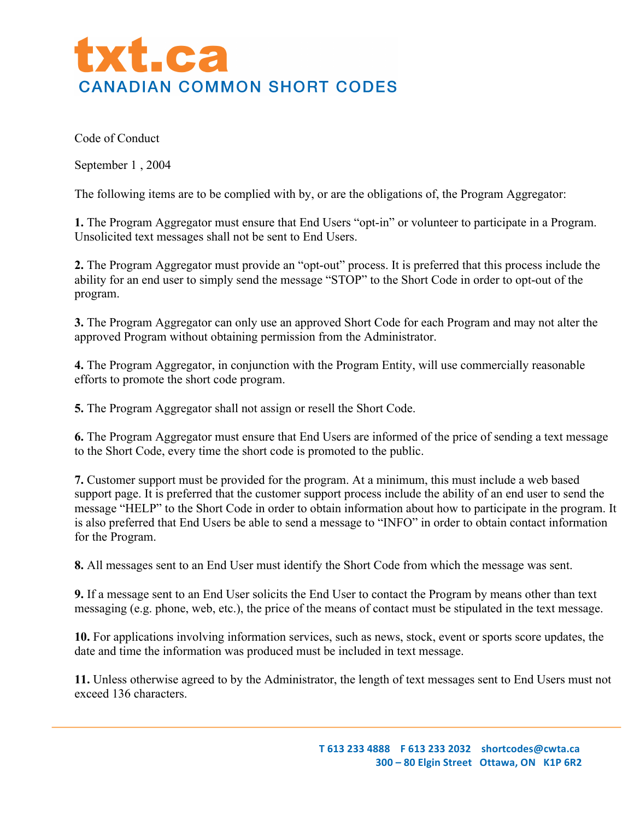

Code of Conduct

September 1 , 2004

The following items are to be complied with by, or are the obligations of, the Program Aggregator:

**1.** The Program Aggregator must ensure that End Users "opt-in" or volunteer to participate in a Program. Unsolicited text messages shall not be sent to End Users.

**2.** The Program Aggregator must provide an "opt-out" process. It is preferred that this process include the ability for an end user to simply send the message "STOP" to the Short Code in order to opt-out of the program.

**3.** The Program Aggregator can only use an approved Short Code for each Program and may not alter the approved Program without obtaining permission from the Administrator.

**4.** The Program Aggregator, in conjunction with the Program Entity, will use commercially reasonable efforts to promote the short code program.

**5.** The Program Aggregator shall not assign or resell the Short Code.

**6.** The Program Aggregator must ensure that End Users are informed of the price of sending a text message to the Short Code, every time the short code is promoted to the public.

**7.** Customer support must be provided for the program. At a minimum, this must include a web based support page. It is preferred that the customer support process include the ability of an end user to send the message "HELP" to the Short Code in order to obtain information about how to participate in the program. It is also preferred that End Users be able to send a message to "INFO" in order to obtain contact information for the Program.

**8.** All messages sent to an End User must identify the Short Code from which the message was sent.

**9.** If a message sent to an End User solicits the End User to contact the Program by means other than text messaging (e.g. phone, web, etc.), the price of the means of contact must be stipulated in the text message.

**10.** For applications involving information services, such as news, stock, event or sports score updates, the date and time the information was produced must be included in text message.

**11.** Unless otherwise agreed to by the Administrator, the length of text messages sent to End Users must not exceed 136 characters.